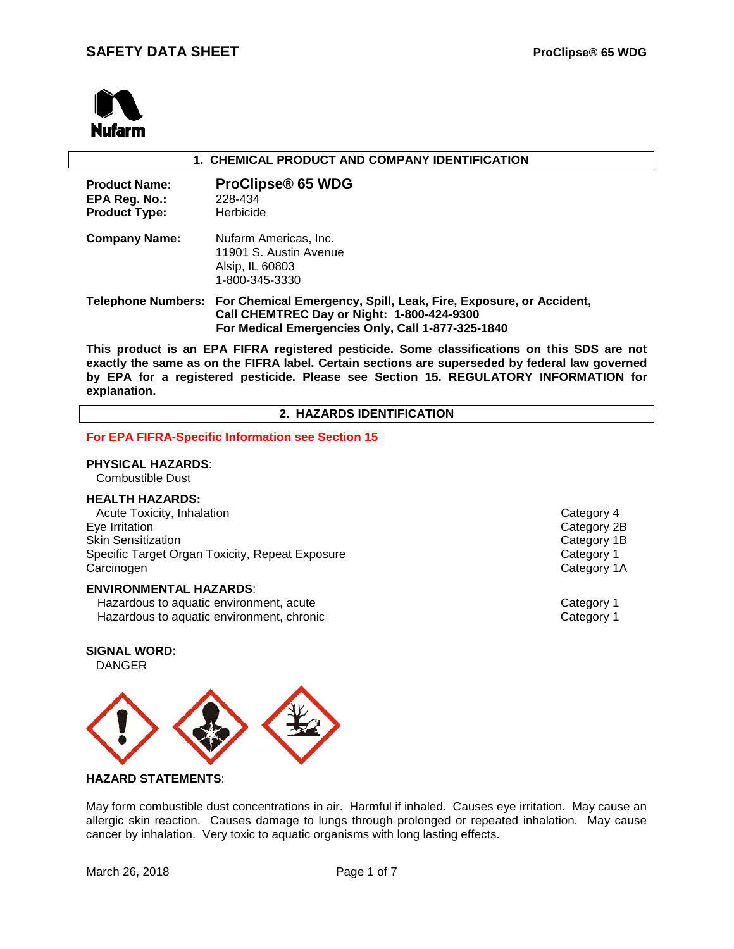

## **1. CHEMICAL PRODUCT AND COMPANY IDENTIFICATION**

| <b>Product Name:</b><br>EPA Reg. No.:<br><b>Product Type:</b> | <b>ProClipse® 65 WDG</b><br>228-434<br>Herbicide                                                                                                                                        |
|---------------------------------------------------------------|-----------------------------------------------------------------------------------------------------------------------------------------------------------------------------------------|
| <b>Company Name:</b>                                          | Nufarm Americas, Inc.<br>11901 S. Austin Avenue<br>Alsip, IL 60803<br>1-800-345-3330                                                                                                    |
|                                                               | Telephone Numbers: For Chemical Emergency, Spill, Leak, Fire, Exposure, or Accident,<br>Call CHEMTREC Day or Night: 1-800-424-9300<br>For Medical Emergencies Only, Call 1-877-325-1840 |

**This product is an EPA FIFRA registered pesticide. Some classifications on this SDS are not exactly the same as on the FIFRA label. Certain sections are superseded by federal law governed by EPA for a registered pesticide. Please see Section 15. REGULATORY INFORMATION for explanation.**

**2. HAZARDS IDENTIFICATION**

#### **For EPA FIFRA-Specific Information see Section 15**

#### **PHYSICAL HAZARDS**:

Combustible Dust

#### **HEALTH HAZARDS:**

Acute Toxicity, Inhalation **Category 4** and Category 4 Eye Irritation Category 2B Skin Sensitization<br>
Specific Target Organ Toxicity, Repeat Exposure<br>
Category 1 Specific Target Organ Toxicity, Repeat Exposure Carcinogen Category 1A

#### **ENVIRONMENTAL HAZARDS**:

Hazardous to aquatic environment, acute **Category 1** and Category 1 Hazardous to aquatic environment, chronic Category 1

**SIGNAL WORD:**

DANGER



#### **HAZARD STATEMENTS**:

May form combustible dust concentrations in air. Harmful if inhaled. Causes eye irritation. May cause an allergic skin reaction. Causes damage to lungs through prolonged or repeated inhalation. May cause cancer by inhalation. Very toxic to aquatic organisms with long lasting effects.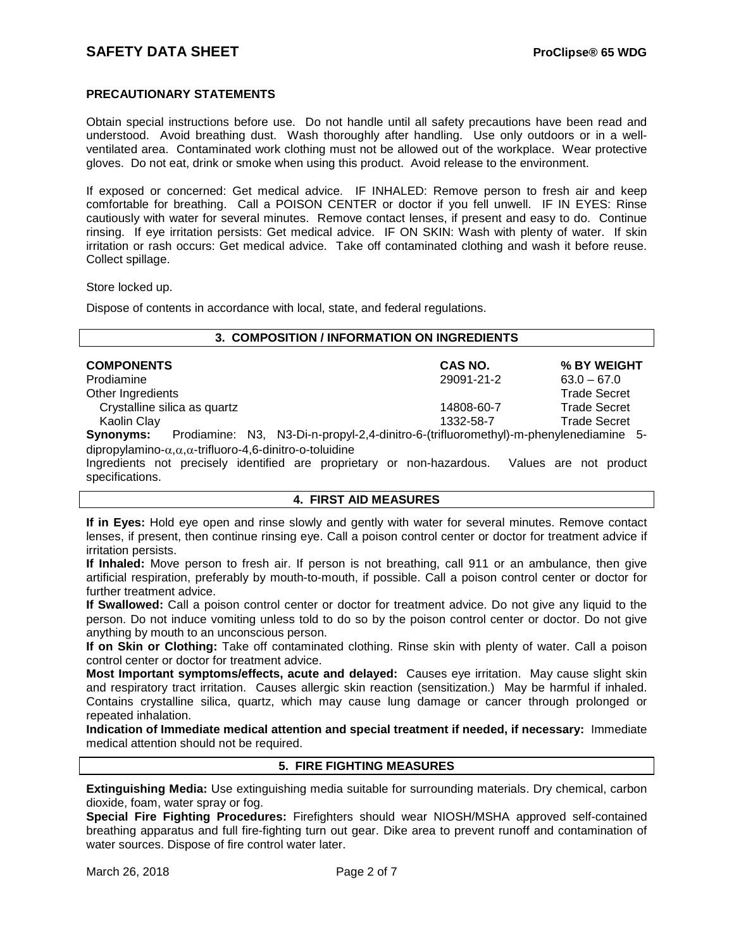## **PRECAUTIONARY STATEMENTS**

Obtain special instructions before use. Do not handle until all safety precautions have been read and understood. Avoid breathing dust. Wash thoroughly after handling. Use only outdoors or in a wellventilated area. Contaminated work clothing must not be allowed out of the workplace. Wear protective gloves. Do not eat, drink or smoke when using this product. Avoid release to the environment.

If exposed or concerned: Get medical advice. IF INHALED: Remove person to fresh air and keep comfortable for breathing. Call a POISON CENTER or doctor if you fell unwell. IF IN EYES: Rinse cautiously with water for several minutes. Remove contact lenses, if present and easy to do. Continue rinsing. If eye irritation persists: Get medical advice. IF ON SKIN: Wash with plenty of water. If skin irritation or rash occurs: Get medical advice. Take off contaminated clothing and wash it before reuse. Collect spillage.

Store locked up.

Dispose of contents in accordance with local, state, and federal regulations.

| 3. COMPOSITION / INFORMATION ON INGREDIENTS |  |
|---------------------------------------------|--|
|---------------------------------------------|--|

| <b>COMPONENTS</b> |                              | <b>CAS NO.</b> | % BY WEIGHT         |
|-------------------|------------------------------|----------------|---------------------|
| Prodiamine        |                              | 29091-21-2     | $63.0 - 67.0$       |
| Other Ingredients |                              |                | <b>Trade Secret</b> |
|                   | Crystalline silica as quartz | 14808-60-7     | <b>Trade Secret</b> |
| Kaolin Clav       |                              | 1332-58-7      | <b>Trade Secret</b> |
| $P_{1}$           | Dradiamina: NO               |                |                     |

**Synonyms:** Prodiamine: N3, N3-Di-n-propyl-2,4-dinitro-6-(trifluoromethyl)-m-phenylenediamine 5 dipropylamino-α,α,α-trifluoro-4,6-dinitro-o-toluidine

Ingredients not precisely identified are proprietary or non-hazardous. Values are not product specifications.

## **4. FIRST AID MEASURES**

**If in Eyes:** Hold eye open and rinse slowly and gently with water for several minutes. Remove contact lenses, if present, then continue rinsing eye. Call a poison control center or doctor for treatment advice if irritation persists.

**If Inhaled:** Move person to fresh air. If person is not breathing, call 911 or an ambulance, then give artificial respiration, preferably by mouth-to-mouth, if possible. Call a poison control center or doctor for further treatment advice.

**If Swallowed:** Call a poison control center or doctor for treatment advice. Do not give any liquid to the person. Do not induce vomiting unless told to do so by the poison control center or doctor. Do not give anything by mouth to an unconscious person.

**If on Skin or Clothing:** Take off contaminated clothing. Rinse skin with plenty of water. Call a poison control center or doctor for treatment advice.

**Most Important symptoms/effects, acute and delayed:** Causes eye irritation. May cause slight skin and respiratory tract irritation. Causes allergic skin reaction (sensitization.) May be harmful if inhaled. Contains crystalline silica, quartz, which may cause lung damage or cancer through prolonged or repeated inhalation.

**Indication of Immediate medical attention and special treatment if needed, if necessary:** Immediate medical attention should not be required.

## **5. FIRE FIGHTING MEASURES**

**Extinguishing Media:** Use extinguishing media suitable for surrounding materials. Dry chemical, carbon dioxide, foam, water spray or fog.

**Special Fire Fighting Procedures:** Firefighters should wear NIOSH/MSHA approved self-contained breathing apparatus and full fire-fighting turn out gear. Dike area to prevent runoff and contamination of water sources. Dispose of fire control water later.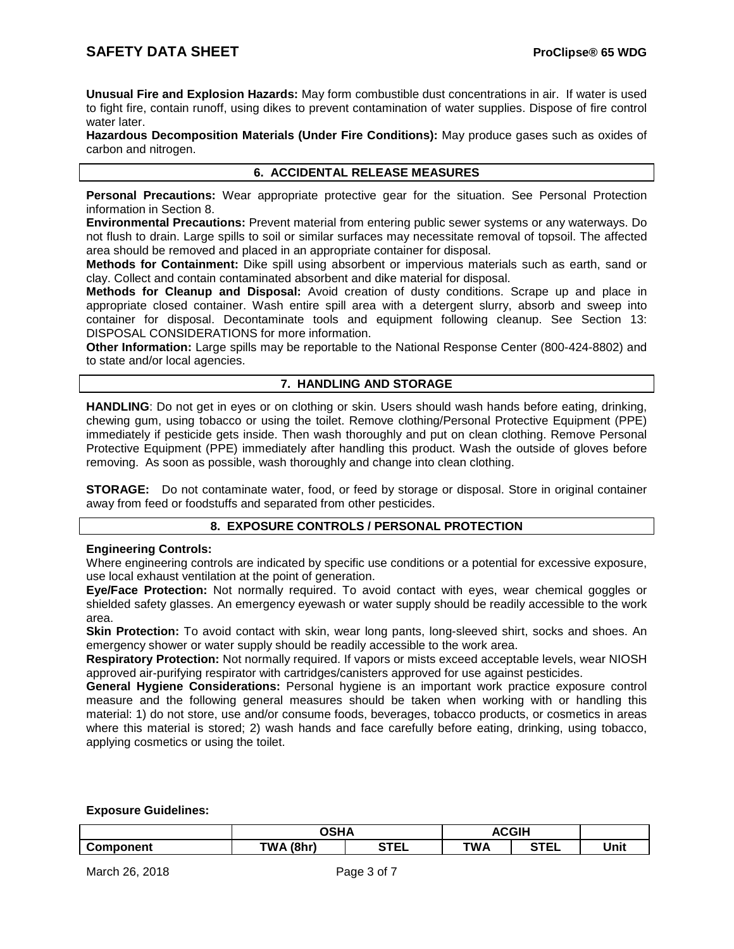**Unusual Fire and Explosion Hazards:** May form combustible dust concentrations in air. If water is used to fight fire, contain runoff, using dikes to prevent contamination of water supplies. Dispose of fire control water later.

**Hazardous Decomposition Materials (Under Fire Conditions):** May produce gases such as oxides of carbon and nitrogen.

## **6. ACCIDENTAL RELEASE MEASURES**

**Personal Precautions:** Wear appropriate protective gear for the situation. See Personal Protection information in Section 8.

**Environmental Precautions:** Prevent material from entering public sewer systems or any waterways. Do not flush to drain. Large spills to soil or similar surfaces may necessitate removal of topsoil. The affected area should be removed and placed in an appropriate container for disposal.

**Methods for Containment:** Dike spill using absorbent or impervious materials such as earth, sand or clay. Collect and contain contaminated absorbent and dike material for disposal.

**Methods for Cleanup and Disposal:** Avoid creation of dusty conditions. Scrape up and place in appropriate closed container. Wash entire spill area with a detergent slurry, absorb and sweep into container for disposal. Decontaminate tools and equipment following cleanup. See Section 13: DISPOSAL CONSIDERATIONS for more information.

**Other Information:** Large spills may be reportable to the National Response Center (800-424-8802) and to state and/or local agencies.

## **7. HANDLING AND STORAGE**

**HANDLING**: Do not get in eyes or on clothing or skin. Users should wash hands before eating, drinking, chewing gum, using tobacco or using the toilet. Remove clothing/Personal Protective Equipment (PPE) immediately if pesticide gets inside. Then wash thoroughly and put on clean clothing. Remove Personal Protective Equipment (PPE) immediately after handling this product. Wash the outside of gloves before removing. As soon as possible, wash thoroughly and change into clean clothing.

**STORAGE:** Do not contaminate water, food, or feed by storage or disposal. Store in original container away from feed or foodstuffs and separated from other pesticides.

#### **8. EXPOSURE CONTROLS / PERSONAL PROTECTION**

#### **Engineering Controls:**

Where engineering controls are indicated by specific use conditions or a potential for excessive exposure, use local exhaust ventilation at the point of generation.

**Eye/Face Protection:** Not normally required. To avoid contact with eyes, wear chemical goggles or shielded safety glasses. An emergency eyewash or water supply should be readily accessible to the work area.

**Skin Protection:** To avoid contact with skin, wear long pants, long-sleeved shirt, socks and shoes. An emergency shower or water supply should be readily accessible to the work area.

**Respiratory Protection:** Not normally required. If vapors or mists exceed acceptable levels, wear NIOSH approved air-purifying respirator with cartridges/canisters approved for use against pesticides.

**General Hygiene Considerations:** Personal hygiene is an important work practice exposure control measure and the following general measures should be taken when working with or handling this material: 1) do not store, use and/or consume foods, beverages, tobacco products, or cosmetics in areas where this material is stored; 2) wash hands and face carefully before eating, drinking, using tobacco, applying cosmetics or using the toilet.

#### **Exposure Guidelines:**

|                  | ດເ⊔∧         | <b>ACGIH</b><br>л. |            |                  |      |
|------------------|--------------|--------------------|------------|------------------|------|
| <b>Component</b> | (8hr)<br>TWΔ | <b>STET</b><br>--  | <b>TWA</b> | <b>STEP</b><br>. | Unit |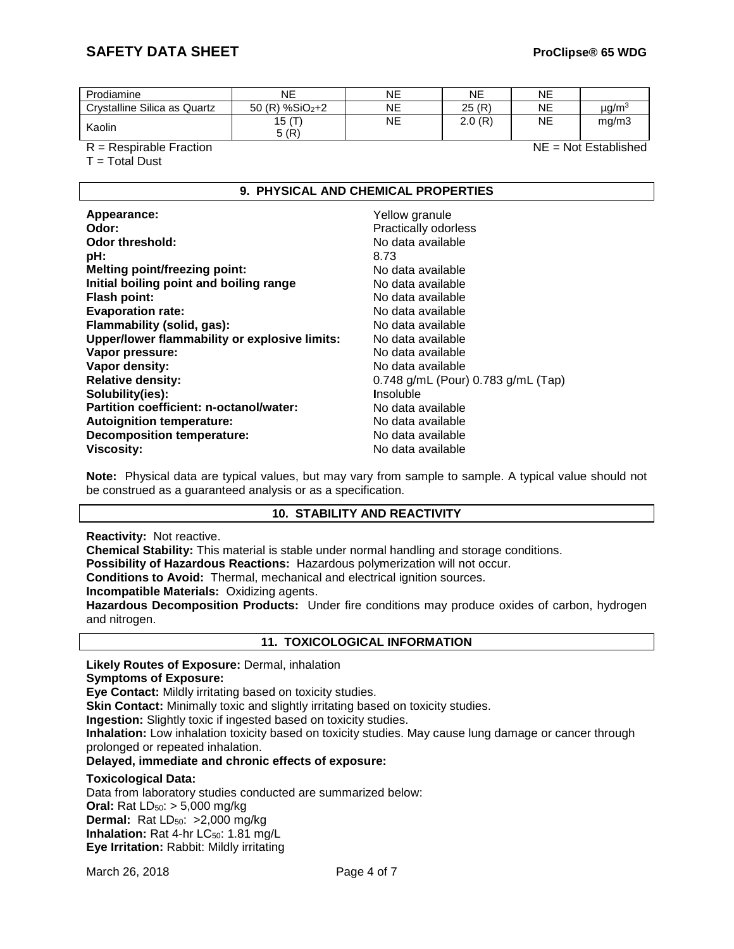# **SAFETY DATA SHEET ProClipse® 65 WDG**

| Prodiamine                   | NE             | NE | NE     | NE |           |
|------------------------------|----------------|----|--------|----|-----------|
| Crystalline Silica as Quartz | 50 (R) %SiO2+2 | NE | 25(R)  | NE | µg/m $^3$ |
| Kaolin                       | 15 (T)<br>5(R) | NE | 2.0(R) | NE | mg/m3     |

R = Respirable Fraction NE = Not Established

 $T = Total$  Dust

## **9. PHYSICAL AND CHEMICAL PROPERTIES**

| Appearance:                                   | Yellow granule                     |
|-----------------------------------------------|------------------------------------|
| Odor:                                         | Practically odorless               |
| Odor threshold:                               | No data available                  |
| pH:                                           | 8.73                               |
| <b>Melting point/freezing point:</b>          | No data available                  |
| Initial boiling point and boiling range       | No data available                  |
| <b>Flash point:</b>                           | No data available                  |
| <b>Evaporation rate:</b>                      | No data available                  |
| Flammability (solid, gas):                    | No data available                  |
| Upper/lower flammability or explosive limits: | No data available                  |
| Vapor pressure:                               | No data available                  |
| Vapor density:                                | No data available                  |
| <b>Relative density:</b>                      | 0.748 g/mL (Pour) 0.783 g/mL (Tap) |
| Solubility(ies):                              | <b>Insoluble</b>                   |
| Partition coefficient: n-octanol/water:       | No data available                  |
| <b>Autoignition temperature:</b>              | No data available                  |
| <b>Decomposition temperature:</b>             | No data available                  |
| <b>Viscosity:</b>                             | No data available                  |

**Note:** Physical data are typical values, but may vary from sample to sample. A typical value should not be construed as a guaranteed analysis or as a specification.

# **10. STABILITY AND REACTIVITY**

**Reactivity:** Not reactive.

**Chemical Stability:** This material is stable under normal handling and storage conditions.

**Possibility of Hazardous Reactions:** Hazardous polymerization will not occur.

**Conditions to Avoid:** Thermal, mechanical and electrical ignition sources.

**Incompatible Materials:** Oxidizing agents.

**Hazardous Decomposition Products:** Under fire conditions may produce oxides of carbon, hydrogen and nitrogen.

#### **11. TOXICOLOGICAL INFORMATION**

**Likely Routes of Exposure:** Dermal, inhalation

**Symptoms of Exposure:**

**Eye Contact:** Mildly irritating based on toxicity studies.

**Skin Contact:** Minimally toxic and slightly irritating based on toxicity studies.

**Ingestion:** Slightly toxic if ingested based on toxicity studies.

**Inhalation:** Low inhalation toxicity based on toxicity studies. May cause lung damage or cancer through prolonged or repeated inhalation.

**Delayed, immediate and chronic effects of exposure:**

#### **Toxicological Data:**

Data from laboratory studies conducted are summarized below: **Oral:** Rat LD<sub>50</sub>: > 5,000 mg/kg **Dermal:** Rat LD<sub>50</sub>: >2,000 mg/kg **Inhalation:** Rat 4-hr LC<sub>50</sub>: 1.81 mg/L **Eye Irritation:** Rabbit: Mildly irritating

March 26, 2018 **Page 4 of 7**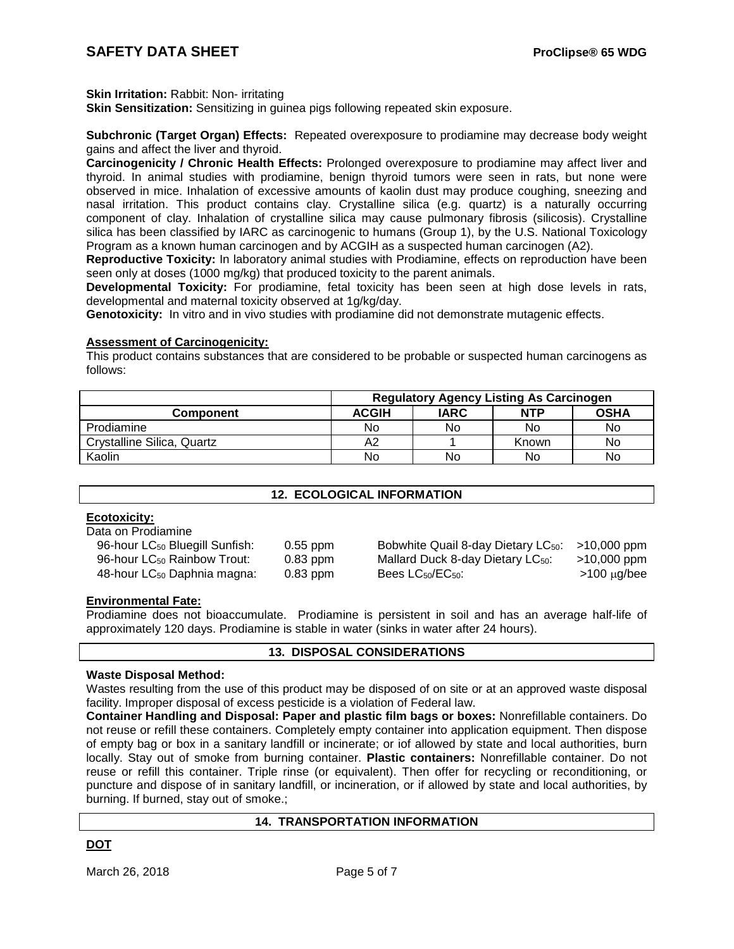**Skin Irritation:** Rabbit: Non- irritating

**Skin Sensitization:** Sensitizing in guinea pigs following repeated skin exposure.

**Subchronic (Target Organ) Effects:** Repeated overexposure to prodiamine may decrease body weight gains and affect the liver and thyroid.

**Carcinogenicity / Chronic Health Effects:** Prolonged overexposure to prodiamine may affect liver and thyroid. In animal studies with prodiamine, benign thyroid tumors were seen in rats, but none were observed in mice. Inhalation of excessive amounts of kaolin dust may produce coughing, sneezing and nasal irritation. This product contains clay. Crystalline silica (e.g. quartz) is a naturally occurring component of clay. Inhalation of crystalline silica may cause pulmonary fibrosis (silicosis). Crystalline silica has been classified by IARC as carcinogenic to humans (Group 1), by the U.S. National Toxicology Program as a known human carcinogen and by ACGIH as a suspected human carcinogen (A2).

**Reproductive Toxicity:** In laboratory animal studies with Prodiamine, effects on reproduction have been seen only at doses (1000 mg/kg) that produced toxicity to the parent animals.

**Developmental Toxicity:** For prodiamine, fetal toxicity has been seen at high dose levels in rats, developmental and maternal toxicity observed at 1g/kg/day.

**Genotoxicity:** In vitro and in vivo studies with prodiamine did not demonstrate mutagenic effects.

#### **Assessment of Carcinogenicity:**

This product contains substances that are considered to be probable or suspected human carcinogens as follows:

|                            | <b>Regulatory Agency Listing As Carcinogen</b> |             |            |             |  |
|----------------------------|------------------------------------------------|-------------|------------|-------------|--|
| Component                  | <b>ACGIH</b>                                   | <b>IARC</b> | <b>NTP</b> | <b>OSHA</b> |  |
| Prodiamine                 | No                                             | No          | No         | No          |  |
| Crystalline Silica, Quartz | А2                                             |             | Known      | No          |  |
| Kaolin                     | No                                             | No          | No         | No          |  |

# **12. ECOLOGICAL INFORMATION**

## **Ecotoxicity:**

Data on Prodiamine

96-hour LC<sub>50</sub> Bluegill Sunfish: 0.55 ppm Bobwhite Quail 8-day Dietary LC<sub>50</sub>: >10,000 ppm 96-hour LC<sub>50</sub> Rainbow Trout: 0.83 ppm Mallard Duck 8-day Dietary LC<sub>50</sub>: >10,000 ppm  $48$ -hour LC<sub>50</sub> Daphnia magna:  $0.83$  ppm Bees LC<sub>50</sub>/EC<sub>50</sub>:  $>100 \mu g/\text{bee}$ 

#### **Environmental Fate:**

Prodiamine does not bioaccumulate. Prodiamine is persistent in soil and has an average half-life of approximately 120 days. Prodiamine is stable in water (sinks in water after 24 hours).

#### **13. DISPOSAL CONSIDERATIONS**

#### **Waste Disposal Method:**

Wastes resulting from the use of this product may be disposed of on site or at an approved waste disposal facility. Improper disposal of excess pesticide is a violation of Federal law.

**Container Handling and Disposal: Paper and plastic film bags or boxes:** Nonrefillable containers. Do not reuse or refill these containers. Completely empty container into application equipment. Then dispose of empty bag or box in a sanitary landfill or incinerate; or iof allowed by state and local authorities, burn locally. Stay out of smoke from burning container. **Plastic containers:** Nonrefillable container. Do not reuse or refill this container. Triple rinse (or equivalent). Then offer for recycling or reconditioning, or puncture and dispose of in sanitary landfill, or incineration, or if allowed by state and local authorities, by burning. If burned, stay out of smoke.;

#### **14. TRANSPORTATION INFORMATION**

## **DOT**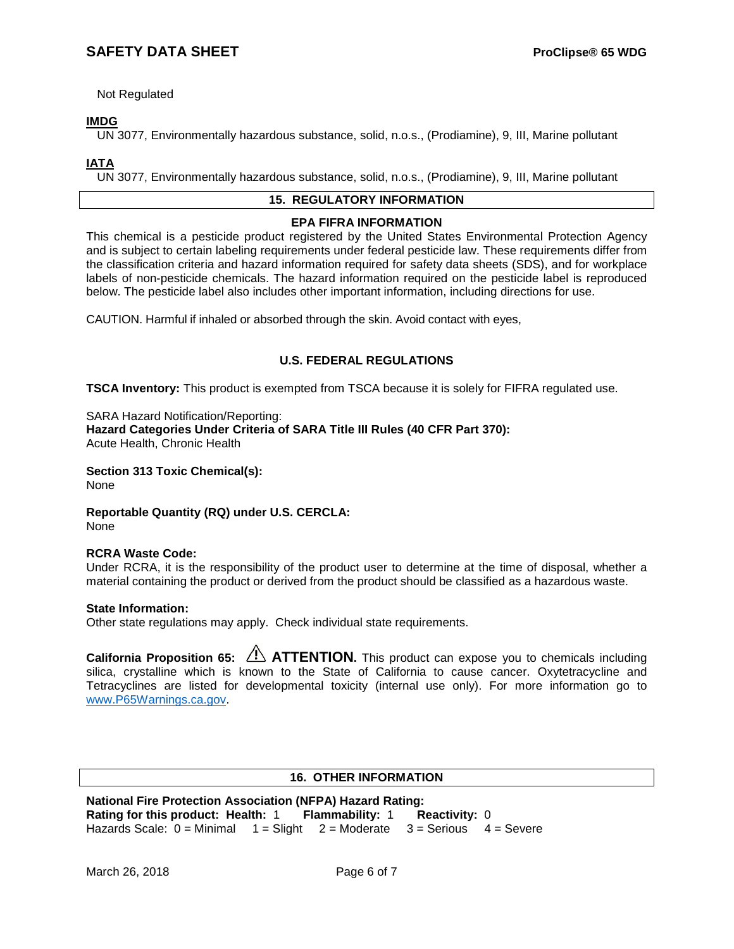Not Regulated

# **IMDG**

UN 3077, Environmentally hazardous substance, solid, n.o.s., (Prodiamine), 9, III, Marine pollutant

**IATA**

UN 3077, Environmentally hazardous substance, solid, n.o.s., (Prodiamine), 9, III, Marine pollutant

# **15. REGULATORY INFORMATION**

## **EPA FIFRA INFORMATION**

This chemical is a pesticide product registered by the United States Environmental Protection Agency and is subject to certain labeling requirements under federal pesticide law. These requirements differ from the classification criteria and hazard information required for safety data sheets (SDS), and for workplace labels of non-pesticide chemicals. The hazard information required on the pesticide label is reproduced below. The pesticide label also includes other important information, including directions for use.

CAUTION. Harmful if inhaled or absorbed through the skin. Avoid contact with eyes,

## **U.S. FEDERAL REGULATIONS**

**TSCA Inventory:** This product is exempted from TSCA because it is solely for FIFRA regulated use.

#### SARA Hazard Notification/Reporting:

**Hazard Categories Under Criteria of SARA Title III Rules (40 CFR Part 370):** Acute Health, Chronic Health

**Section 313 Toxic Chemical(s):** None

**Reportable Quantity (RQ) under U.S. CERCLA:** None

#### **RCRA Waste Code:**

Under RCRA, it is the responsibility of the product user to determine at the time of disposal, whether a material containing the product or derived from the product should be classified as a hazardous waste.

#### **State Information:**

Other state regulations may apply. Check individual state requirements.

**California Proposition 65: ATTENTION.** This product can expose you to chemicals including silica, crystalline which is known to the State of California to cause cancer. Oxytetracycline and Tetracyclines are listed for developmental toxicity (internal use only). For more information go to [www.P65Warnings.ca.gov.](http://www.p65warnings.ca.gov/)

# **16. OTHER INFORMATION**

**National Fire Protection Association (NFPA) Hazard Rating: Rating for this product: Health:** 1 **Flammability:** 1 **Reactivity:** 0 Hazards Scale:  $0 =$  Minimal  $1 =$  Slight  $2 =$  Moderate  $3 =$  Serious  $4 =$  Severe